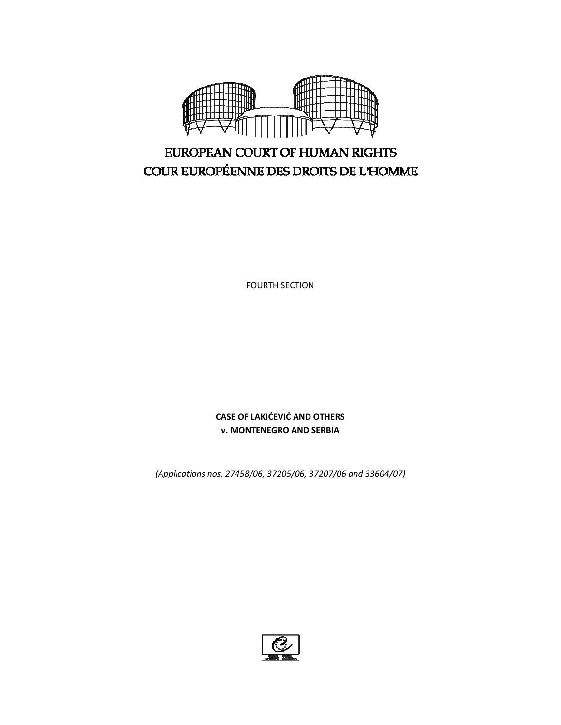

FOURTH SECTION

**CASE OF LAKIĆEVIĆ AND OTHERS v. MONTENEGRO AND SERBIA**

*(Applications nos. 27458/06, 37205/06, 37207/06 and 33604/07)*

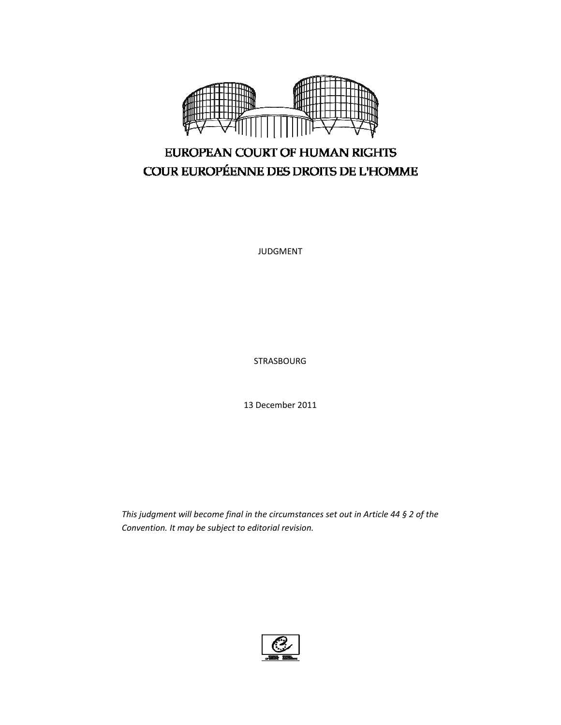

JUDGMENT

STRASBOURG

13 December 2011

*This judgment will become final in the circumstances set out in Article 44 § 2 of the Convention. It may be subject to editorial revision.*

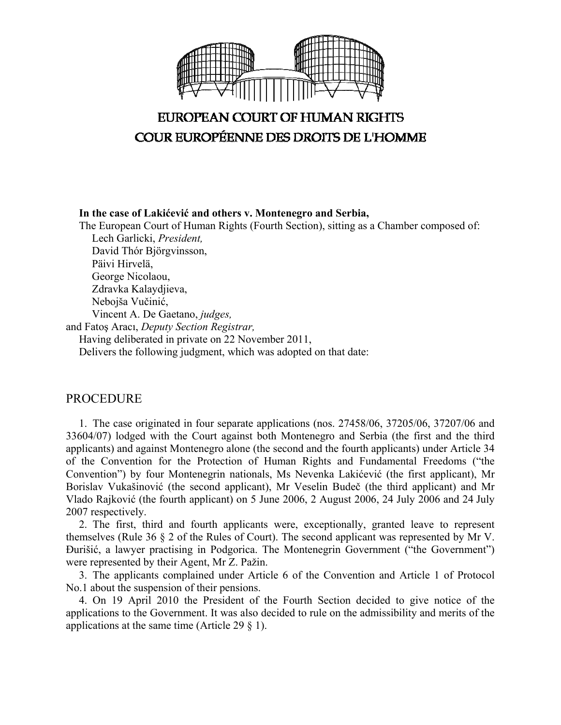

**In the case of Lakićević and others v. Montenegro and Serbia,** 

The European Court of Human Rights (Fourth Section), sitting as a Chamber composed of: Lech Garlicki, *President,* 

 David Thór Björgvinsson, Päivi Hirvelä, George Nicolaou, Zdravka Kalaydjieva, Nebojša Vučinić, Vincent A. De Gaetano, *judges,* and Fatoş Aracı, *Deputy Section Registrar,* Having deliberated in private on 22 November 2011, Delivers the following judgment, which was adopted on that date:

# PROCEDURE

1. The case originated in four separate applications (nos. 27458/06, 37205/06, 37207/06 and 33604/07) lodged with the Court against both Montenegro and Serbia (the first and the third applicants) and against Montenegro alone (the second and the fourth applicants) under Article 34 of the Convention for the Protection of Human Rights and Fundamental Freedoms ("the Convention") by four Montenegrin nationals, Ms Nevenka Lakićević (the first applicant), Mr Borislav Vukašinović (the second applicant), Mr Veselin Budeč (the third applicant) and Mr Vlado Rajković (the fourth applicant) on 5 June 2006, 2 August 2006, 24 July 2006 and 24 July 2007 respectively.

2. The first, third and fourth applicants were, exceptionally, granted leave to represent themselves (Rule 36 § 2 of the Rules of Court). The second applicant was represented by Mr V. Đurišić, a lawyer practising in Podgorica. The Montenegrin Government ("the Government") were represented by their Agent, Mr Z. Pažin.

3. The applicants complained under Article 6 of the Convention and Article 1 of Protocol No.1 about the suspension of their pensions.

4. On 19 April 2010 the President of the Fourth Section decided to give notice of the applications to the Government. It was also decided to rule on the admissibility and merits of the applications at the same time (Article 29 § 1).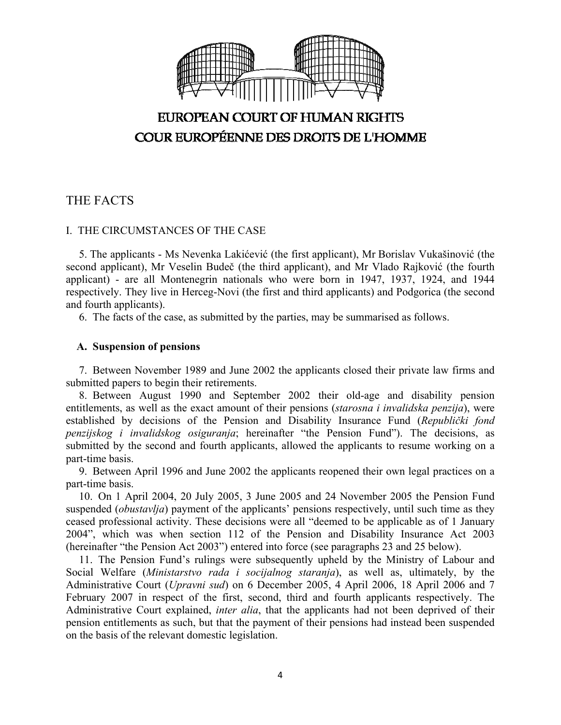

# THE FACTS

### I. THE CIRCUMSTANCES OF THE CASE

5. The applicants - Ms Nevenka Lakićević (the first applicant), Mr Borislav Vukašinović (the second applicant), Mr Veselin Budeč (the third applicant), and Mr Vlado Rajković (the fourth applicant) - are all Montenegrin nationals who were born in 1947, 1937, 1924, and 1944 respectively. They live in Herceg-Novi (the first and third applicants) and Podgorica (the second and fourth applicants).

6. The facts of the case, as submitted by the parties, may be summarised as follows.

### **A. Suspension of pensions**

7. Between November 1989 and June 2002 the applicants closed their private law firms and submitted papers to begin their retirements.

8. Between August 1990 and September 2002 their old-age and disability pension entitlements, as well as the exact amount of their pensions (*starosna i invalidska penzija*), were established by decisions of the Pension and Disability Insurance Fund (*Republički fond penzijskog i invalidskog osiguranja*; hereinafter "the Pension Fund"). The decisions, as submitted by the second and fourth applicants, allowed the applicants to resume working on a part-time basis.

9. Between April 1996 and June 2002 the applicants reopened their own legal practices on a part-time basis.

10. On 1 April 2004, 20 July 2005, 3 June 2005 and 24 November 2005 the Pension Fund suspended (*obustavlja*) payment of the applicants' pensions respectively, until such time as they ceased professional activity. These decisions were all "deemed to be applicable as of 1 January 2004", which was when section 112 of the Pension and Disability Insurance Act 2003 (hereinafter "the Pension Act 2003") entered into force (see paragraphs 23 and 25 below).

11. The Pension Fund's rulings were subsequently upheld by the Ministry of Labour and Social Welfare (*Ministarstvo rada i socijalnog staranja*), as well as, ultimately, by the Administrative Court (*Upravni sud*) on 6 December 2005, 4 April 2006, 18 April 2006 and 7 February 2007 in respect of the first, second, third and fourth applicants respectively. The Administrative Court explained, *inter alia*, that the applicants had not been deprived of their pension entitlements as such, but that the payment of their pensions had instead been suspended on the basis of the relevant domestic legislation.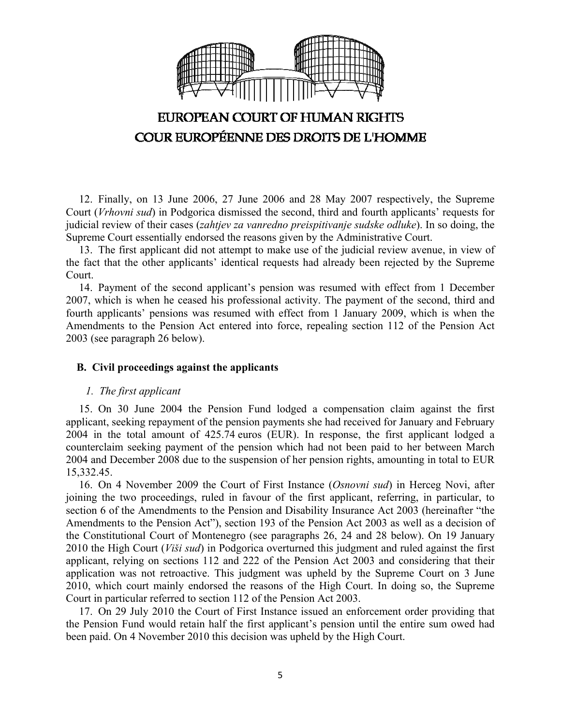

12. Finally, on 13 June 2006, 27 June 2006 and 28 May 2007 respectively, the Supreme Court (*Vrhovni sud*) in Podgorica dismissed the second, third and fourth applicants' requests for judicial review of their cases (*zahtjev za vanredno preispitivanje sudske odluke*). In so doing, the Supreme Court essentially endorsed the reasons given by the Administrative Court.

13. The first applicant did not attempt to make use of the judicial review avenue, in view of the fact that the other applicants' identical requests had already been rejected by the Supreme Court.

14. Payment of the second applicant's pension was resumed with effect from 1 December 2007, which is when he ceased his professional activity. The payment of the second, third and fourth applicants' pensions was resumed with effect from 1 January 2009, which is when the Amendments to the Pension Act entered into force, repealing section 112 of the Pension Act 2003 (see paragraph 26 below).

### **B. Civil proceedings against the applicants**

### *1. The first applicant*

15. On 30 June 2004 the Pension Fund lodged a compensation claim against the first applicant, seeking repayment of the pension payments she had received for January and February 2004 in the total amount of 425.74 euros (EUR). In response, the first applicant lodged a counterclaim seeking payment of the pension which had not been paid to her between March 2004 and December 2008 due to the suspension of her pension rights, amounting in total to EUR 15,332.45.

16. On 4 November 2009 the Court of First Instance (*Osnovni sud*) in Herceg Novi, after joining the two proceedings, ruled in favour of the first applicant, referring, in particular, to section 6 of the Amendments to the Pension and Disability Insurance Act 2003 (hereinafter "the Amendments to the Pension Act"), section 193 of the Pension Act 2003 as well as a decision of the Constitutional Court of Montenegro (see paragraphs 26, 24 and 28 below). On 19 January 2010 the High Court (*Viši sud*) in Podgorica overturned this judgment and ruled against the first applicant, relying on sections 112 and 222 of the Pension Act 2003 and considering that their application was not retroactive. This judgment was upheld by the Supreme Court on 3 June 2010, which court mainly endorsed the reasons of the High Court. In doing so, the Supreme Court in particular referred to section 112 of the Pension Act 2003.

17. On 29 July 2010 the Court of First Instance issued an enforcement order providing that the Pension Fund would retain half the first applicant's pension until the entire sum owed had been paid. On 4 November 2010 this decision was upheld by the High Court.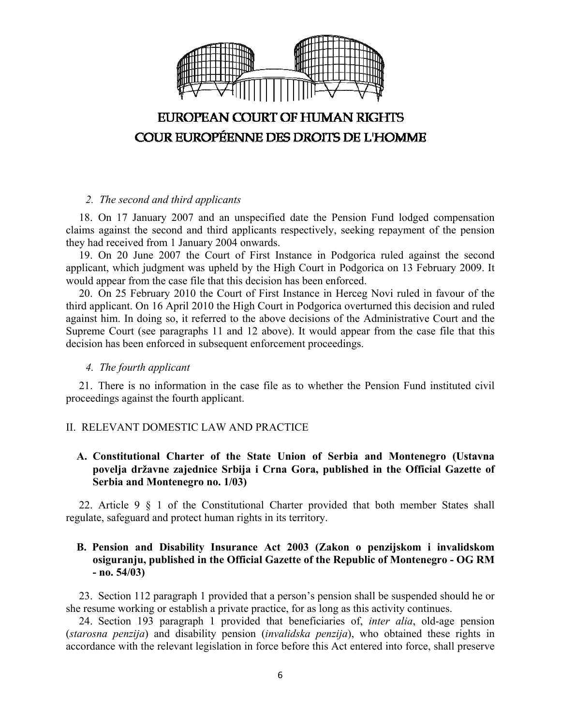

### *2. The second and third applicants*

18. On 17 January 2007 and an unspecified date the Pension Fund lodged compensation claims against the second and third applicants respectively, seeking repayment of the pension they had received from 1 January 2004 onwards.

19. On 20 June 2007 the Court of First Instance in Podgorica ruled against the second applicant, which judgment was upheld by the High Court in Podgorica on 13 February 2009. It would appear from the case file that this decision has been enforced.

20. On 25 February 2010 the Court of First Instance in Herceg Novi ruled in favour of the third applicant. On 16 April 2010 the High Court in Podgorica overturned this decision and ruled against him. In doing so, it referred to the above decisions of the Administrative Court and the Supreme Court (see paragraphs 11 and 12 above). It would appear from the case file that this decision has been enforced in subsequent enforcement proceedings.

## *4. The fourth applicant*

21. There is no information in the case file as to whether the Pension Fund instituted civil proceedings against the fourth applicant.

# II. RELEVANT DOMESTIC LAW AND PRACTICE

# **A. Constitutional Charter of the State Union of Serbia and Montenegro (Ustavna povelja državne zajednice Srbija i Crna Gora, published in the Official Gazette of Serbia and Montenegro no. 1/03)**

22. Article 9 § 1 of the Constitutional Charter provided that both member States shall regulate, safeguard and protect human rights in its territory.

## **B. Pension and Disability Insurance Act 2003 (Zakon o penzijskom i invalidskom osiguranju, published in the Official Gazette of the Republic of Montenegro - OG RM - no. 54/03)**

23. Section 112 paragraph 1 provided that a person's pension shall be suspended should he or she resume working or establish a private practice, for as long as this activity continues.

24. Section 193 paragraph 1 provided that beneficiaries of, *inter alia*, old-age pension (*starosna penzija*) and disability pension (*invalidska penzija*), who obtained these rights in accordance with the relevant legislation in force before this Act entered into force, shall preserve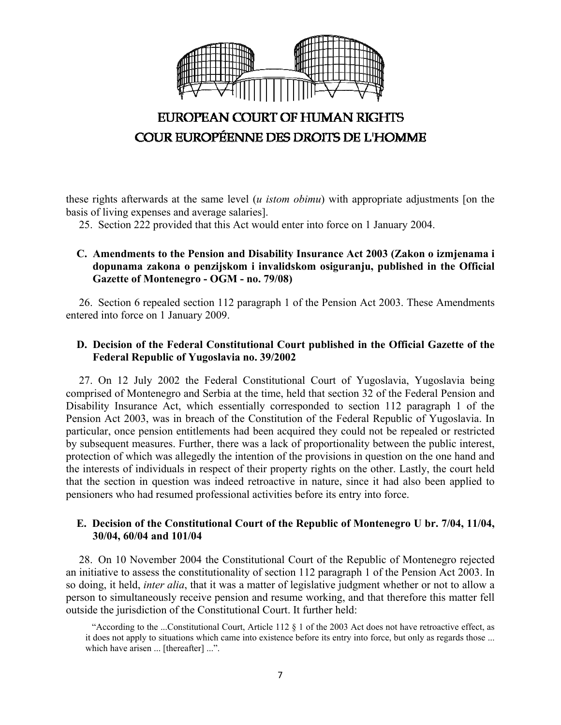

these rights afterwards at the same level (*u istom obimu*) with appropriate adjustments [on the basis of living expenses and average salaries].

25. Section 222 provided that this Act would enter into force on 1 January 2004.

# **C. Amendments to the Pension and Disability Insurance Act 2003 (Zakon o izmjenama i dopunama zakona o penzijskom i invalidskom osiguranju, published in the Official Gazette of Montenegro - OGM - no. 79/08)**

26. Section 6 repealed section 112 paragraph 1 of the Pension Act 2003. These Amendments entered into force on 1 January 2009.

### **D. Decision of the Federal Constitutional Court published in the Official Gazette of the Federal Republic of Yugoslavia no. 39/2002**

27. On 12 July 2002 the Federal Constitutional Court of Yugoslavia, Yugoslavia being comprised of Montenegro and Serbia at the time, held that section 32 of the Federal Pension and Disability Insurance Act, which essentially corresponded to section 112 paragraph 1 of the Pension Act 2003, was in breach of the Constitution of the Federal Republic of Yugoslavia. In particular, once pension entitlements had been acquired they could not be repealed or restricted by subsequent measures. Further, there was a lack of proportionality between the public interest, protection of which was allegedly the intention of the provisions in question on the one hand and the interests of individuals in respect of their property rights on the other. Lastly, the court held that the section in question was indeed retroactive in nature, since it had also been applied to pensioners who had resumed professional activities before its entry into force.

### **E. Decision of the Constitutional Court of the Republic of Montenegro U br. 7/04, 11/04, 30/04, 60/04 and 101/04**

28. On 10 November 2004 the Constitutional Court of the Republic of Montenegro rejected an initiative to assess the constitutionality of section 112 paragraph 1 of the Pension Act 2003. In so doing, it held, *inter alia*, that it was a matter of legislative judgment whether or not to allow a person to simultaneously receive pension and resume working, and that therefore this matter fell outside the jurisdiction of the Constitutional Court. It further held:

<sup>&</sup>quot;According to the ...Constitutional Court, Article 112 § 1 of the 2003 Act does not have retroactive effect, as it does not apply to situations which came into existence before its entry into force, but only as regards those ... which have arisen ... [thereafter] ...".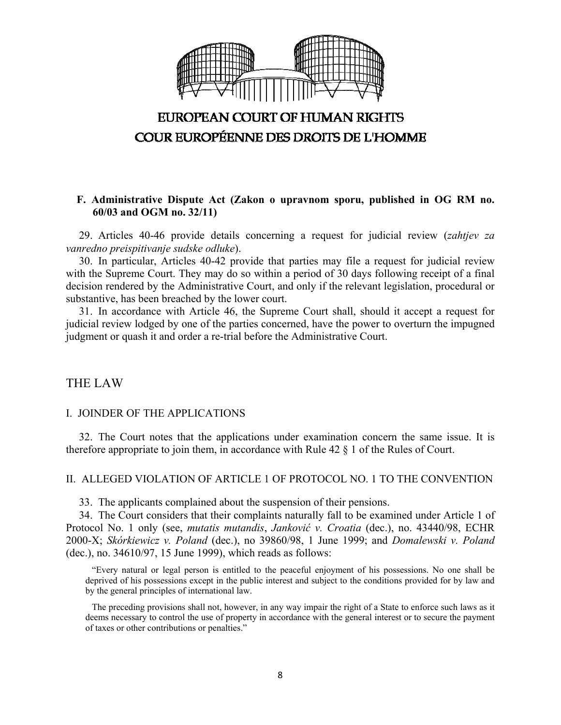

### **F. Administrative Dispute Act (Zakon o upravnom sporu, published in OG RM no. 60/03 and OGM no. 32/11)**

29. Articles 40-46 provide details concerning a request for judicial review (*zahtjev za vanredno preispitivanje sudske odluke*).

30. In particular, Articles 40-42 provide that parties may file a request for judicial review with the Supreme Court. They may do so within a period of 30 days following receipt of a final decision rendered by the Administrative Court, and only if the relevant legislation, procedural or substantive, has been breached by the lower court.

31. In accordance with Article 46, the Supreme Court shall, should it accept a request for judicial review lodged by one of the parties concerned, have the power to overturn the impugned judgment or quash it and order a re-trial before the Administrative Court.

# THE LAW

#### I. JOINDER OF THE APPLICATIONS

32. The Court notes that the applications under examination concern the same issue. It is therefore appropriate to join them, in accordance with Rule 42 § 1 of the Rules of Court.

#### II. ALLEGED VIOLATION OF ARTICLE 1 OF PROTOCOL NO. 1 TO THE CONVENTION

33. The applicants complained about the suspension of their pensions.

34. The Court considers that their complaints naturally fall to be examined under Article 1 of Protocol No. 1 only (see, *mutatis mutandis*, *Janković v. Croatia* (dec.), no. 43440/98, ECHR 2000-X; *Skórkiewicz v. Poland* (dec.), no 39860/98, 1 June 1999; and *Domalewski v. Poland* (dec.), no. 34610/97, 15 June 1999), which reads as follows:

"Every natural or legal person is entitled to the peaceful enjoyment of his possessions. No one shall be deprived of his possessions except in the public interest and subject to the conditions provided for by law and by the general principles of international law.

The preceding provisions shall not, however, in any way impair the right of a State to enforce such laws as it deems necessary to control the use of property in accordance with the general interest or to secure the payment of taxes or other contributions or penalties."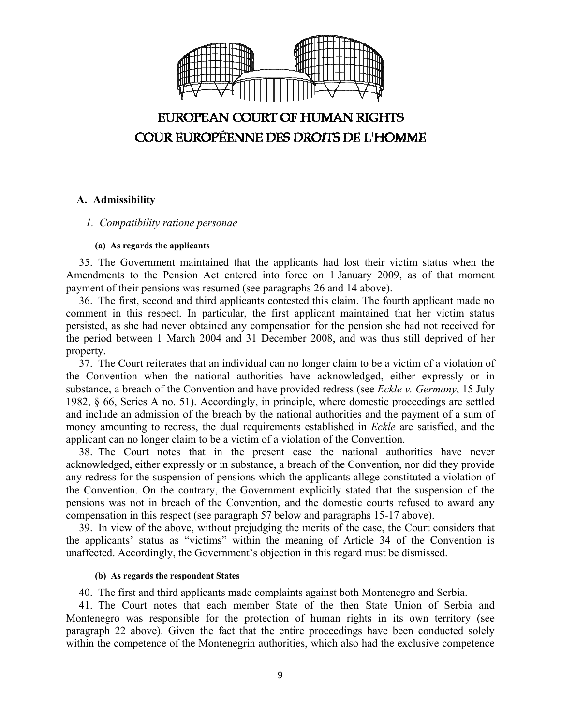

### **A. Admissibility**

#### *1. Compatibility ratione personae*

#### **(a) As regards the applicants**

35. The Government maintained that the applicants had lost their victim status when the Amendments to the Pension Act entered into force on 1 January 2009, as of that moment payment of their pensions was resumed (see paragraphs 26 and 14 above).

36. The first, second and third applicants contested this claim. The fourth applicant made no comment in this respect. In particular, the first applicant maintained that her victim status persisted, as she had never obtained any compensation for the pension she had not received for the period between 1 March 2004 and 31 December 2008, and was thus still deprived of her property.

37. The Court reiterates that an individual can no longer claim to be a victim of a violation of the Convention when the national authorities have acknowledged, either expressly or in substance, a breach of the Convention and have provided redress (see *Eckle v. Germany*, 15 July 1982, § 66, Series A no. 51). Accordingly, in principle, where domestic proceedings are settled and include an admission of the breach by the national authorities and the payment of a sum of money amounting to redress, the dual requirements established in *Eckle* are satisfied, and the applicant can no longer claim to be a victim of a violation of the Convention.

38. The Court notes that in the present case the national authorities have never acknowledged, either expressly or in substance, a breach of the Convention, nor did they provide any redress for the suspension of pensions which the applicants allege constituted a violation of the Convention. On the contrary, the Government explicitly stated that the suspension of the pensions was not in breach of the Convention, and the domestic courts refused to award any compensation in this respect (see paragraph 57 below and paragraphs 15-17 above).

39. In view of the above, without prejudging the merits of the case, the Court considers that the applicants' status as "victims" within the meaning of Article 34 of the Convention is unaffected. Accordingly, the Government's objection in this regard must be dismissed.

#### **(b) As regards the respondent States**

40. The first and third applicants made complaints against both Montenegro and Serbia.

41. The Court notes that each member State of the then State Union of Serbia and Montenegro was responsible for the protection of human rights in its own territory (see paragraph 22 above). Given the fact that the entire proceedings have been conducted solely within the competence of the Montenegrin authorities, which also had the exclusive competence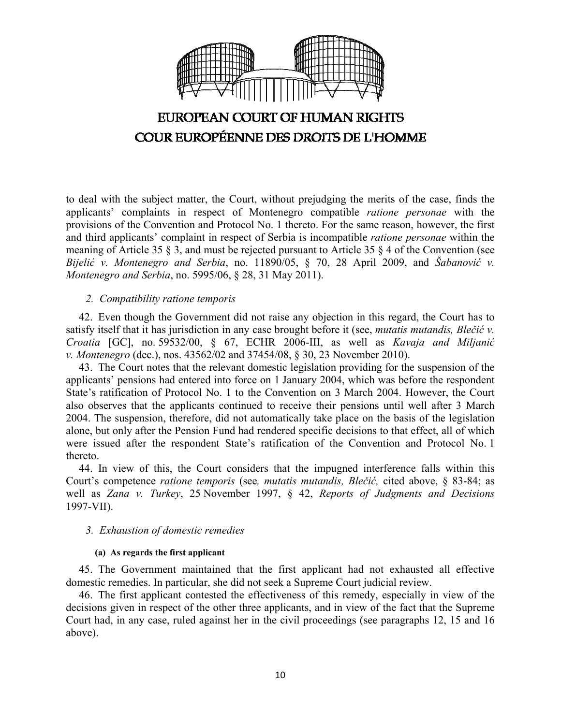

to deal with the subject matter, the Court, without prejudging the merits of the case, finds the applicants' complaints in respect of Montenegro compatible *ratione personae* with the provisions of the Convention and Protocol No. 1 thereto. For the same reason, however, the first and third applicants' complaint in respect of Serbia is incompatible *ratione personae* within the meaning of Article 35 § 3, and must be rejected pursuant to Article 35 § 4 of the Convention (see *Bijelić v. Montenegro and Serbia*, no. 11890/05, § 70, 28 April 2009, and *Šabanović v. Montenegro and Serbia*, no. 5995/06, § 28, 31 May 2011).

### *2. Compatibility ratione temporis*

42. Even though the Government did not raise any objection in this regard, the Court has to satisfy itself that it has jurisdiction in any case brought before it (see, *mutatis mutandis, Blečić v. Croatia* [GC], no. 59532/00, § 67, ECHR 2006-III, as well as *Kavaja and Miljanić v. Montenegro* (dec.), nos. 43562/02 and 37454/08, § 30, 23 November 2010).

43. The Court notes that the relevant domestic legislation providing for the suspension of the applicants' pensions had entered into force on 1 January 2004, which was before the respondent State's ratification of Protocol No. 1 to the Convention on 3 March 2004. However, the Court also observes that the applicants continued to receive their pensions until well after 3 March 2004. The suspension, therefore, did not automatically take place on the basis of the legislation alone, but only after the Pension Fund had rendered specific decisions to that effect, all of which were issued after the respondent State's ratification of the Convention and Protocol No. 1 thereto.

44. In view of this, the Court considers that the impugned interference falls within this Court's competence *ratione temporis* (see*, mutatis mutandis, Blečić,* cited above, § 83-84; as well as *Zana v. Turkey*, 25 November 1997, § 42, *Reports of Judgments and Decisions* 1997-VII).

### *3. Exhaustion of domestic remedies*

#### **(a) As regards the first applicant**

45. The Government maintained that the first applicant had not exhausted all effective domestic remedies. In particular, she did not seek a Supreme Court judicial review.

46. The first applicant contested the effectiveness of this remedy, especially in view of the decisions given in respect of the other three applicants, and in view of the fact that the Supreme Court had, in any case, ruled against her in the civil proceedings (see paragraphs 12, 15 and 16 above).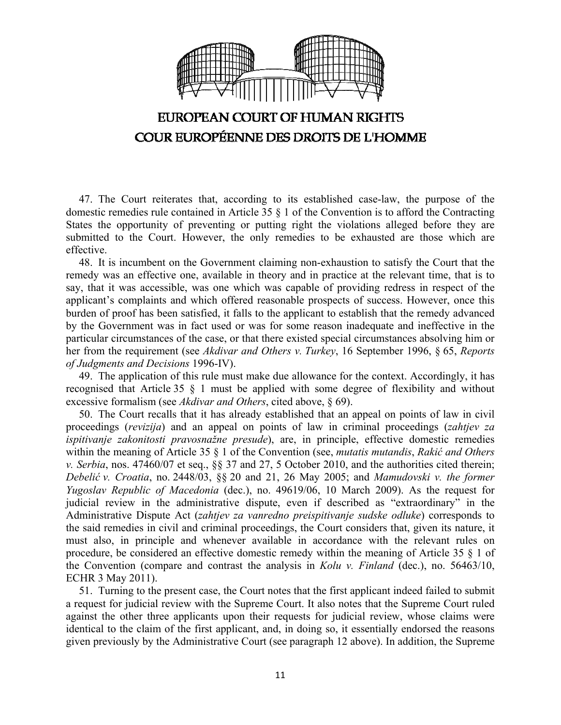

47. The Court reiterates that, according to its established case-law, the purpose of the domestic remedies rule contained in Article 35 § 1 of the Convention is to afford the Contracting States the opportunity of preventing or putting right the violations alleged before they are submitted to the Court. However, the only remedies to be exhausted are those which are effective.

48. It is incumbent on the Government claiming non-exhaustion to satisfy the Court that the remedy was an effective one, available in theory and in practice at the relevant time, that is to say, that it was accessible, was one which was capable of providing redress in respect of the applicant's complaints and which offered reasonable prospects of success. However, once this burden of proof has been satisfied, it falls to the applicant to establish that the remedy advanced by the Government was in fact used or was for some reason inadequate and ineffective in the particular circumstances of the case, or that there existed special circumstances absolving him or her from the requirement (see *Akdivar and Others v. Turkey*, 16 September 1996, § 65, *Reports of Judgments and Decisions* 1996-IV).

49. The application of this rule must make due allowance for the context. Accordingly, it has recognised that Article 35 § 1 must be applied with some degree of flexibility and without excessive formalism (see *Akdivar and Others*, cited above, § 69).

50. The Court recalls that it has already established that an appeal on points of law in civil proceedings (*revizija*) and an appeal on points of law in criminal proceedings (*zahtjev za ispitivanje zakonitosti pravosnažne presude*), are, in principle, effective domestic remedies within the meaning of Article 35 § 1 of the Convention (see, *mutatis mutandis*, *Rakić and Others v. Serbia*, nos. 47460/07 et seq., §§ 37 and 27, 5 October 2010, and the authorities cited therein; *Debelić v. Croatia*, no. 2448/03, §§ 20 and 21, 26 May 2005; and *Mamudovski v. the former Yugoslav Republic of Macedonia* (dec.), no. 49619/06, 10 March 2009). As the request for judicial review in the administrative dispute, even if described as "extraordinary" in the Administrative Dispute Act (*zahtjev za vanredno preispitivanje sudske odluke*) corresponds to the said remedies in civil and criminal proceedings, the Court considers that, given its nature, it must also, in principle and whenever available in accordance with the relevant rules on procedure, be considered an effective domestic remedy within the meaning of Article 35 § 1 of the Convention (compare and contrast the analysis in *Kolu v. Finland* (dec.), no. 56463/10, ECHR 3 May 2011).

51. Turning to the present case, the Court notes that the first applicant indeed failed to submit a request for judicial review with the Supreme Court. It also notes that the Supreme Court ruled against the other three applicants upon their requests for judicial review, whose claims were identical to the claim of the first applicant, and, in doing so, it essentially endorsed the reasons given previously by the Administrative Court (see paragraph 12 above). In addition, the Supreme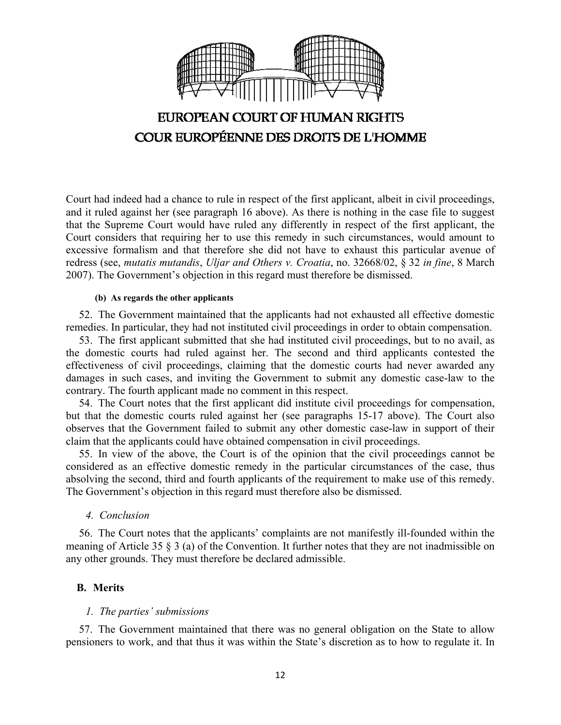

Court had indeed had a chance to rule in respect of the first applicant, albeit in civil proceedings, and it ruled against her (see paragraph 16 above). As there is nothing in the case file to suggest that the Supreme Court would have ruled any differently in respect of the first applicant, the Court considers that requiring her to use this remedy in such circumstances, would amount to excessive formalism and that therefore she did not have to exhaust this particular avenue of redress (see, *mutatis mutandis*, *Uljar and Others v. Croatia*, no. 32668/02, § 32 *in fine*, 8 March 2007). The Government's objection in this regard must therefore be dismissed.

#### **(b) As regards the other applicants**

52. The Government maintained that the applicants had not exhausted all effective domestic remedies. In particular, they had not instituted civil proceedings in order to obtain compensation.

53. The first applicant submitted that she had instituted civil proceedings, but to no avail, as the domestic courts had ruled against her. The second and third applicants contested the effectiveness of civil proceedings, claiming that the domestic courts had never awarded any damages in such cases, and inviting the Government to submit any domestic case-law to the contrary. The fourth applicant made no comment in this respect.

54. The Court notes that the first applicant did institute civil proceedings for compensation, but that the domestic courts ruled against her (see paragraphs 15-17 above). The Court also observes that the Government failed to submit any other domestic case-law in support of their claim that the applicants could have obtained compensation in civil proceedings.

55. In view of the above, the Court is of the opinion that the civil proceedings cannot be considered as an effective domestic remedy in the particular circumstances of the case, thus absolving the second, third and fourth applicants of the requirement to make use of this remedy. The Government's objection in this regard must therefore also be dismissed.

### *4. Conclusion*

56. The Court notes that the applicants' complaints are not manifestly ill-founded within the meaning of Article 35 § 3 (a) of the Convention. It further notes that they are not inadmissible on any other grounds. They must therefore be declared admissible.

### **B. Merits**

#### *1. The parties' submissions*

57. The Government maintained that there was no general obligation on the State to allow pensioners to work, and that thus it was within the State's discretion as to how to regulate it. In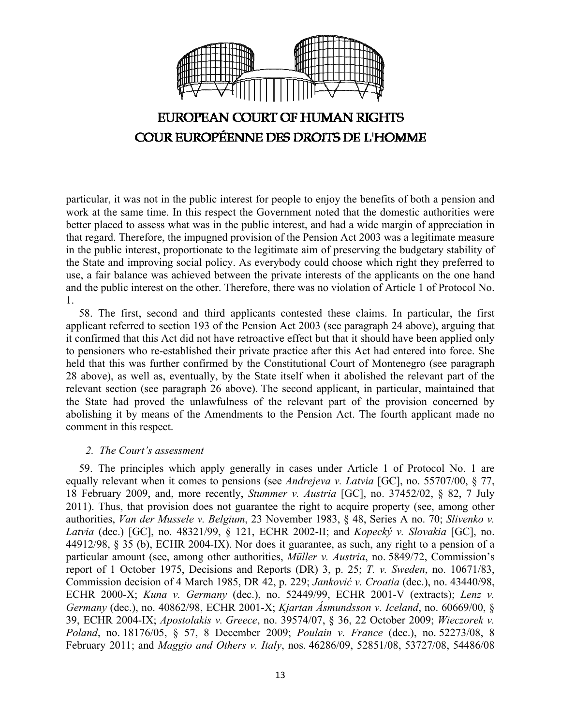

particular, it was not in the public interest for people to enjoy the benefits of both a pension and work at the same time. In this respect the Government noted that the domestic authorities were better placed to assess what was in the public interest, and had a wide margin of appreciation in that regard. Therefore, the impugned provision of the Pension Act 2003 was a legitimate measure in the public interest, proportionate to the legitimate aim of preserving the budgetary stability of the State and improving social policy. As everybody could choose which right they preferred to use, a fair balance was achieved between the private interests of the applicants on the one hand and the public interest on the other. Therefore, there was no violation of Article 1 of Protocol No. 1.

58. The first, second and third applicants contested these claims. In particular, the first applicant referred to section 193 of the Pension Act 2003 (see paragraph 24 above), arguing that it confirmed that this Act did not have retroactive effect but that it should have been applied only to pensioners who re-established their private practice after this Act had entered into force. She held that this was further confirmed by the Constitutional Court of Montenegro (see paragraph 28 above), as well as, eventually, by the State itself when it abolished the relevant part of the relevant section (see paragraph 26 above). The second applicant, in particular, maintained that the State had proved the unlawfulness of the relevant part of the provision concerned by abolishing it by means of the Amendments to the Pension Act. The fourth applicant made no comment in this respect.

### *2. The Court's assessment*

59. The principles which apply generally in cases under Article 1 of Protocol No. 1 are equally relevant when it comes to pensions (see *Andrejeva v. Latvia* [GC], no. 55707/00, § 77, 18 February 2009, and, more recently, *Stummer v. Austria* [GC], no. 37452/02, § 82, 7 July 2011). Thus, that provision does not guarantee the right to acquire property (see, among other authorities, *Van der Mussele v. Belgium*, 23 November 1983, § 48, Series A no. 70; *Slivenko v. Latvia* (dec.) [GC], no. 48321/99, § 121, ECHR 2002-II; and *Kopecký v. Slovakia* [GC], no. 44912/98, § 35 (b), ECHR 2004-IX). Nor does it guarantee, as such, any right to a pension of a particular amount (see, among other authorities, *Müller v. Austria*, no. 5849/72, Commission's report of 1 October 1975, Decisions and Reports (DR) 3, p. 25; *T. v. Sweden*, no. 10671/83, Commission decision of 4 March 1985, DR 42, p. 229; *Janković v. Croatia* (dec.), no. 43440/98, ECHR 2000-X; *Kuna v. Germany* (dec.), no. 52449/99, ECHR 2001-V (extracts); *Lenz v. Germany* (dec.), no. 40862/98, ECHR 2001-X; *Kjartan Ásmundsson v. Iceland*, no. 60669/00, § 39, ECHR 2004-IX; *Apostolakis v. Greece*, no. 39574/07, § 36, 22 October 2009; *Wieczorek v. Poland*, no. 18176/05, § 57, 8 December 2009; *Poulain v. France* (dec.), no. 52273/08, 8 February 2011; and *Maggio and Others v. Italy*, nos. 46286/09, 52851/08, 53727/08, 54486/08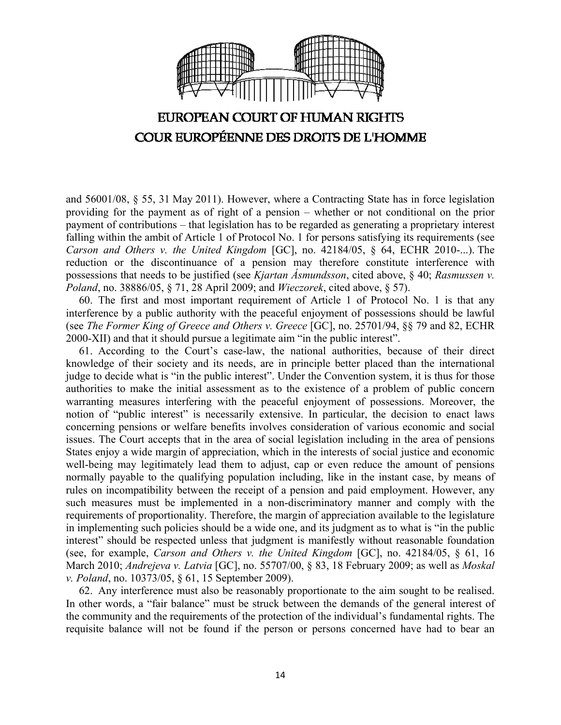

and 56001/08, § 55, 31 May 2011). However, where a Contracting State has in force legislation providing for the payment as of right of a pension – whether or not conditional on the prior payment of contributions – that legislation has to be regarded as generating a proprietary interest falling within the ambit of Article 1 of Protocol No. 1 for persons satisfying its requirements (see *Carson and Others v. the United Kingdom* [GC], no. 42184/05, § 64, ECHR 2010-...). The reduction or the discontinuance of a pension may therefore constitute interference with possessions that needs to be justified (see *Kjartan Ásmundsson*, cited above, § 40; *Rasmussen v. Poland*, no. 38886/05, § 71, 28 April 2009; and *Wieczorek*, cited above, § 57).

60. The first and most important requirement of Article 1 of Protocol No. 1 is that any interference by a public authority with the peaceful enjoyment of possessions should be lawful (see *The Former King of Greece and Others v. Greece* [GC], no. 25701/94, §§ 79 and 82, ECHR 2000-XII) and that it should pursue a legitimate aim "in the public interest".

61. According to the Court's case-law, the national authorities, because of their direct knowledge of their society and its needs, are in principle better placed than the international judge to decide what is "in the public interest". Under the Convention system, it is thus for those authorities to make the initial assessment as to the existence of a problem of public concern warranting measures interfering with the peaceful enjoyment of possessions. Moreover, the notion of "public interest" is necessarily extensive. In particular, the decision to enact laws concerning pensions or welfare benefits involves consideration of various economic and social issues. The Court accepts that in the area of social legislation including in the area of pensions States enjoy a wide margin of appreciation, which in the interests of social justice and economic well-being may legitimately lead them to adjust, cap or even reduce the amount of pensions normally payable to the qualifying population including, like in the instant case, by means of rules on incompatibility between the receipt of a pension and paid employment. However, any such measures must be implemented in a non-discriminatory manner and comply with the requirements of proportionality. Therefore, the margin of appreciation available to the legislature in implementing such policies should be a wide one, and its judgment as to what is "in the public interest" should be respected unless that judgment is manifestly without reasonable foundation (see, for example, *Carson and Others v. the United Kingdom* [GC], no. 42184/05, § 61, 16 March 2010; *Andrejeva v. Latvia* [GC], no. 55707/00, § 83, 18 February 2009; as well as *Moskal v. Poland*, no. 10373/05, § 61, 15 September 2009).

62. Any interference must also be reasonably proportionate to the aim sought to be realised. In other words, a "fair balance" must be struck between the demands of the general interest of the community and the requirements of the protection of the individual's fundamental rights. The requisite balance will not be found if the person or persons concerned have had to bear an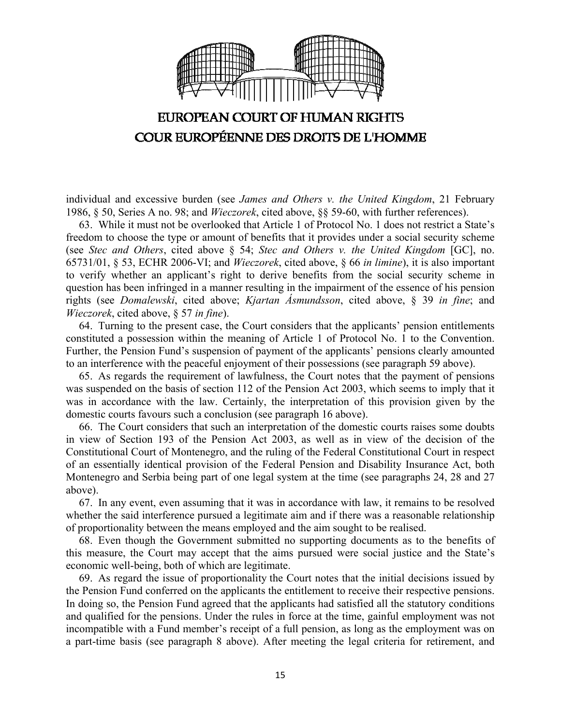

individual and excessive burden (see *James and Others v. the United Kingdom*, 21 February 1986, § 50, Series A no. 98; and *Wieczorek*, cited above, §§ 59-60, with further references).

63. While it must not be overlooked that Article 1 of Protocol No. 1 does not restrict a State's freedom to choose the type or amount of benefits that it provides under a social security scheme (see *Stec and Others*, cited above § 54; *Stec and Others v. the United Kingdom* [GC], no. 65731/01, § 53, ECHR 2006-VI; and *Wieczorek*, cited above, § 66 *in limine*), it is also important to verify whether an applicant's right to derive benefits from the social security scheme in question has been infringed in a manner resulting in the impairment of the essence of his pension rights (see *Domalewski*, cited above; *Kjartan Ásmundsson*, cited above, § 39 *in fine*; and *Wieczorek*, cited above, § 57 *in fine*).

64. Turning to the present case, the Court considers that the applicants' pension entitlements constituted a possession within the meaning of Article 1 of Protocol No. 1 to the Convention. Further, the Pension Fund's suspension of payment of the applicants' pensions clearly amounted to an interference with the peaceful enjoyment of their possessions (see paragraph 59 above).

65. As regards the requirement of lawfulness, the Court notes that the payment of pensions was suspended on the basis of section 112 of the Pension Act 2003, which seems to imply that it was in accordance with the law. Certainly, the interpretation of this provision given by the domestic courts favours such a conclusion (see paragraph 16 above).

66. The Court considers that such an interpretation of the domestic courts raises some doubts in view of Section 193 of the Pension Act 2003, as well as in view of the decision of the Constitutional Court of Montenegro, and the ruling of the Federal Constitutional Court in respect of an essentially identical provision of the Federal Pension and Disability Insurance Act, both Montenegro and Serbia being part of one legal system at the time (see paragraphs 24, 28 and 27 above).

67. In any event, even assuming that it was in accordance with law, it remains to be resolved whether the said interference pursued a legitimate aim and if there was a reasonable relationship of proportionality between the means employed and the aim sought to be realised.

68. Even though the Government submitted no supporting documents as to the benefits of this measure, the Court may accept that the aims pursued were social justice and the State's economic well-being, both of which are legitimate.

69. As regard the issue of proportionality the Court notes that the initial decisions issued by the Pension Fund conferred on the applicants the entitlement to receive their respective pensions. In doing so, the Pension Fund agreed that the applicants had satisfied all the statutory conditions and qualified for the pensions. Under the rules in force at the time, gainful employment was not incompatible with a Fund member's receipt of a full pension, as long as the employment was on a part-time basis (see paragraph 8 above). After meeting the legal criteria for retirement, and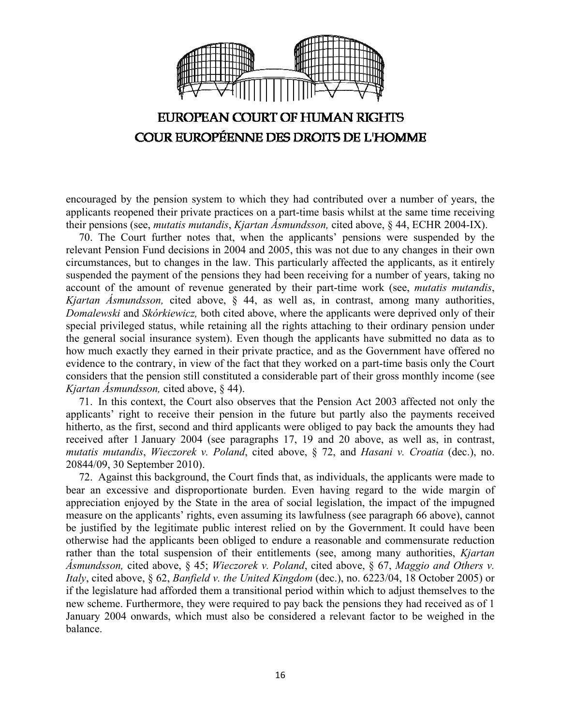

encouraged by the pension system to which they had contributed over a number of years, the applicants reopened their private practices on a part-time basis whilst at the same time receiving their pensions (see, *mutatis mutandis*, *Kjartan Ásmundsson,* cited above, § 44, ECHR 2004-IX).

70. The Court further notes that, when the applicants' pensions were suspended by the relevant Pension Fund decisions in 2004 and 2005, this was not due to any changes in their own circumstances, but to changes in the law. This particularly affected the applicants, as it entirely suspended the payment of the pensions they had been receiving for a number of years, taking no account of the amount of revenue generated by their part-time work (see, *mutatis mutandis*, *Kjartan Ásmundsson,* cited above, § 44, as well as, in contrast, among many authorities, *Domalewski* and *Skórkiewicz,* both cited above, where the applicants were deprived only of their special privileged status, while retaining all the rights attaching to their ordinary pension under the general social insurance system). Even though the applicants have submitted no data as to how much exactly they earned in their private practice, and as the Government have offered no evidence to the contrary, in view of the fact that they worked on a part-time basis only the Court considers that the pension still constituted a considerable part of their gross monthly income (see *Kjartan Ásmundsson,* cited above, § 44).

71. In this context, the Court also observes that the Pension Act 2003 affected not only the applicants' right to receive their pension in the future but partly also the payments received hitherto, as the first, second and third applicants were obliged to pay back the amounts they had received after 1 January 2004 (see paragraphs 17, 19 and 20 above, as well as, in contrast, *mutatis mutandis*, *Wieczorek v. Poland*, cited above, § 72, and *Hasani v. Croatia* (dec.), no. 20844/09, 30 September 2010).

72. Against this background, the Court finds that, as individuals, the applicants were made to bear an excessive and disproportionate burden. Even having regard to the wide margin of appreciation enjoyed by the State in the area of social legislation, the impact of the impugned measure on the applicants' rights, even assuming its lawfulness (see paragraph 66 above), cannot be justified by the legitimate public interest relied on by the Government. It could have been otherwise had the applicants been obliged to endure a reasonable and commensurate reduction rather than the total suspension of their entitlements (see, among many authorities, *Kjartan Ásmundsson,* cited above, § 45; *Wieczorek v. Poland*, cited above, § 67, *Maggio and Others v. Italy*, cited above, § 62, *Banfield v. the United Kingdom* (dec.), no. 6223/04, 18 October 2005) or if the legislature had afforded them a transitional period within which to adjust themselves to the new scheme. Furthermore, they were required to pay back the pensions they had received as of 1 January 2004 onwards, which must also be considered a relevant factor to be weighed in the balance.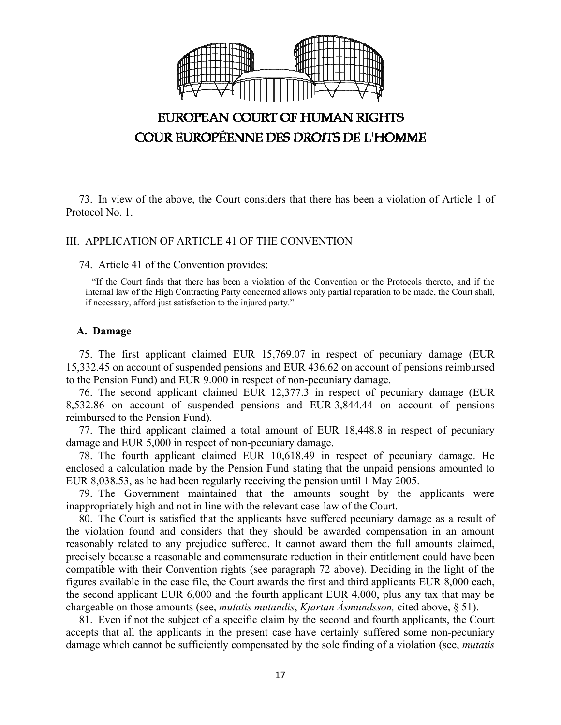

73. In view of the above, the Court considers that there has been a violation of Article 1 of Protocol No. 1.

#### III. APPLICATION OF ARTICLE 41 OF THE CONVENTION

#### 74. Article 41 of the Convention provides:

"If the Court finds that there has been a violation of the Convention or the Protocols thereto, and if the internal law of the High Contracting Party concerned allows only partial reparation to be made, the Court shall, if necessary, afford just satisfaction to the injured party."

#### **A. Damage**

75. The first applicant claimed EUR 15,769.07 in respect of pecuniary damage (EUR 15,332.45 on account of suspended pensions and EUR 436.62 on account of pensions reimbursed to the Pension Fund) and EUR 9.000 in respect of non-pecuniary damage.

76. The second applicant claimed EUR 12,377.3 in respect of pecuniary damage (EUR 8,532.86 on account of suspended pensions and EUR 3,844.44 on account of pensions reimbursed to the Pension Fund).

77. The third applicant claimed a total amount of EUR 18,448.8 in respect of pecuniary damage and EUR 5,000 in respect of non-pecuniary damage.

78. The fourth applicant claimed EUR 10,618.49 in respect of pecuniary damage. He enclosed a calculation made by the Pension Fund stating that the unpaid pensions amounted to EUR 8,038.53, as he had been regularly receiving the pension until 1 May 2005.

79. The Government maintained that the amounts sought by the applicants were inappropriately high and not in line with the relevant case-law of the Court.

80. The Court is satisfied that the applicants have suffered pecuniary damage as a result of the violation found and considers that they should be awarded compensation in an amount reasonably related to any prejudice suffered. It cannot award them the full amounts claimed, precisely because a reasonable and commensurate reduction in their entitlement could have been compatible with their Convention rights (see paragraph 72 above). Deciding in the light of the figures available in the case file, the Court awards the first and third applicants EUR 8,000 each, the second applicant EUR 6,000 and the fourth applicant EUR 4,000, plus any tax that may be chargeable on those amounts (see, *mutatis mutandis*, *Kjartan Ásmundsson,* cited above, § 51).

81. Even if not the subject of a specific claim by the second and fourth applicants, the Court accepts that all the applicants in the present case have certainly suffered some non-pecuniary damage which cannot be sufficiently compensated by the sole finding of a violation (see, *mutatis*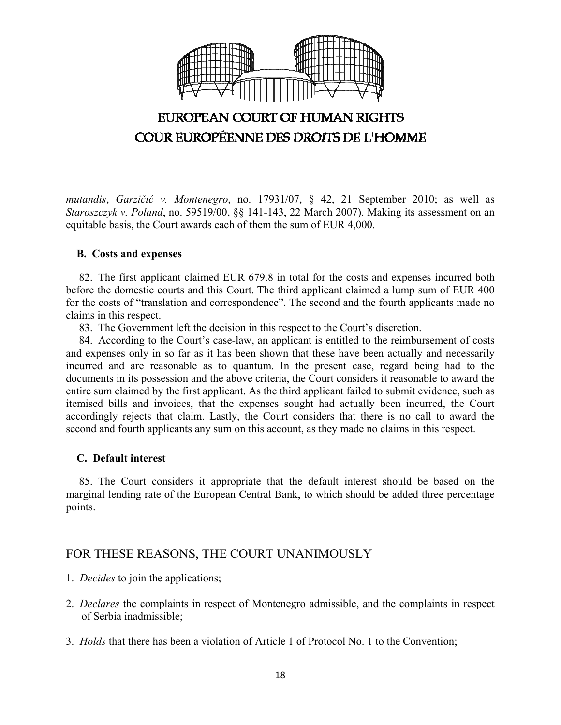

*mutandis*, *Garzičić v. Montenegro*, no. 17931/07, § 42, 21 September 2010; as well as *Staroszczyk v. Poland*, no. 59519/00, §§ 141-143, 22 March 2007). Making its assessment on an equitable basis, the Court awards each of them the sum of EUR 4,000.

### **B. Costs and expenses**

82. The first applicant claimed EUR 679.8 in total for the costs and expenses incurred both before the domestic courts and this Court. The third applicant claimed a lump sum of EUR 400 for the costs of "translation and correspondence". The second and the fourth applicants made no claims in this respect.

83. The Government left the decision in this respect to the Court's discretion.

84. According to the Court's case-law, an applicant is entitled to the reimbursement of costs and expenses only in so far as it has been shown that these have been actually and necessarily incurred and are reasonable as to quantum. In the present case, regard being had to the documents in its possession and the above criteria, the Court considers it reasonable to award the entire sum claimed by the first applicant. As the third applicant failed to submit evidence, such as itemised bills and invoices, that the expenses sought had actually been incurred, the Court accordingly rejects that claim. Lastly, the Court considers that there is no call to award the second and fourth applicants any sum on this account, as they made no claims in this respect.

### **C. Default interest**

85. The Court considers it appropriate that the default interest should be based on the marginal lending rate of the European Central Bank, to which should be added three percentage points.

# FOR THESE REASONS, THE COURT UNANIMOUSLY

- 1. *Decides* to join the applications;
- 2. *Declares* the complaints in respect of Montenegro admissible, and the complaints in respect of Serbia inadmissible;
- 3. *Holds* that there has been a violation of Article 1 of Protocol No. 1 to the Convention;